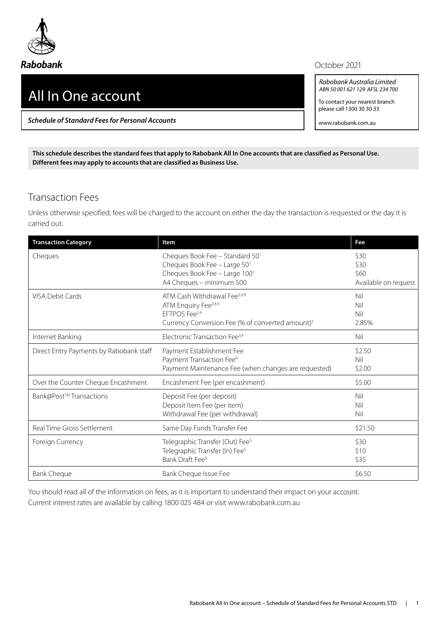

## All In One account

*Schedule of Standard Fees for Personal Accounts*

## October 2021

*Rabobank Australia Limited ABN 50 001 621 129 AFSL 234 700*

To contact your nearest branch please call 1300 30 30 33

www.rabobank.com.au

**This schedule describes the standard fees that apply to Rabobank All In One accounts that are classified as Personal Use. Different fees may apply to accounts that are classified as Business Use.**

## Transaction Fees

Unless otherwise specified, fees will be charged to the account on either the day the transaction is requested or the day it is carried out.

| <b>Transaction Category</b>             | <b>Item</b>                                                                                                                                                               | Fee                                          |
|-----------------------------------------|---------------------------------------------------------------------------------------------------------------------------------------------------------------------------|----------------------------------------------|
| Cheques                                 | Cheques Book Fee - Standard 50 <sup>1</sup><br>Cheques Book Fee - Large 501<br>Cheques Book Fee - Large 1001<br>A4 Cheques - minimum 500                                  | \$30<br>\$30<br>\$60<br>Available on request |
| <b>VISA Debit Cards</b>                 | ATM Cash Withdrawal Fee <sup>2,4,9</sup><br>ATM Enquiry Fee <sup>2,4,9</sup><br>EFTPOS Fee <sup>2,4</sup><br>Currency Conversion Fee (% of converted amount) <sup>2</sup> | Nil<br>Nil<br>Nil<br>2.85%                   |
| Internet Banking                        | Electronic Transaction Fee <sup>3,4</sup>                                                                                                                                 | Nil                                          |
| Direct Entry Payments by Rabobank staff | Payment Establishment Fee<br>Payment Transaction Fee <sup>4</sup><br>Payment Maintenance Fee (when changes are requested)                                                 | \$2.50<br>Nil<br>\$2.00                      |
| Over the Counter Cheque Encashment      | Encashment Fee (per encashment)                                                                                                                                           | \$5.00                                       |
| Bank@Post™Transactions                  | Deposit Fee (per deposit)<br>Deposit Item Fee (per item)<br>Withdrawal Fee (per withdrawal)                                                                               | Nil<br>Nil<br>Nil                            |
| Real Time Gross Settlement              | Same Day Funds Transfer Fee                                                                                                                                               | \$21.50                                      |
| Foreign Currency                        | Telegraphic Transfer (Out) Fee <sup>5</sup><br>Telegraphic Transfer (In) Fee <sup>5</sup><br>Bank Draft Fee <sup>5</sup>                                                  | \$30<br>\$10<br>\$35                         |
| <b>Bank Cheque</b>                      | Bank Cheque Issue Fee                                                                                                                                                     | \$6.50                                       |

You should read all of the information on fees, as it is important to understand their impact on your account. Current interest rates are available by calling 1800 025 484 or visit www.rabobank.com.au